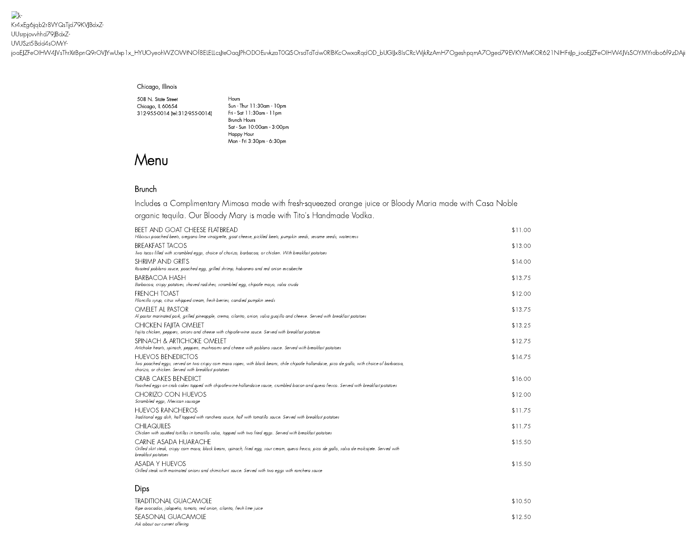$\rightarrow$ Kr4xEg6jqb2r8VYQsTjd79KVJBdxZ-UUsrpjovvhhd79JBdxZ-UVUSzt5Bdd4sOMrY[joaEJZFeOIHW4JVsThrXitBpnQ9rOVJYwUxp1x\\_HYUOyeohWZOWtNOf8ELELLcsJte](https://www.cantinalaredo.com/)OaqJPhODOEuvkzaT0QSOrsdTdTdw0RlBKcOwxaRqdOD\_bUGIJx8IsCRcWjkRzAmH7OgeshpqmA7Oged79EVKYMeKOR621NIHFriJp\_ioaEJZFeOIHW4JVsSOYMYrdbo6f9zDAji

## Chicago, Illinois

508 N. State Street Chicago, IL 60654 312-955-0014 [\(tel:312-955-0014\)](tel:312-955-0014) Fri - Sat 11:30am -11pm

Hours Sun - Thur 11:30am -10pm Brunch Hours Sat - Sun 10:00am - 3:00pm Happy Hour Mon - Fri 3:30pm - 6:30pm

## Menu

## Brunch

Includes a Complimentary Mimosa made with fresh-squeezed orange juice or Bloody Maria made with Casa Noble organic tequila. Our Bloody Mary is made with Tito's Handmade Vodka.

| <b>BEET AND GOAT CHEESE FLATBREAD</b><br>Hibiscus poached beets, oregano lime vinaigrette, goat cheese, pickled beets, pumpkin seeds, sesame seeds, watercress                                                                  | \$11.00 |
|---------------------------------------------------------------------------------------------------------------------------------------------------------------------------------------------------------------------------------|---------|
| <b>BREAKFAST TACOS</b><br>Two tacos filled with scrambled eggs, choice of chorizo, barbacoa, or chicken. With breakfast potatoes                                                                                                | \$13.00 |
| <b>SHRIMP AND GRITS</b><br>Roasted poblano sauce, poached egg, grilled shrimp, habanero and red onion escabeche                                                                                                                 | \$14.00 |
| <b>BARBACOA HASH</b><br>Barbacoa, crispy potatoes, shaved radishes, scrambled egg, chipotle mayo, salsa cruda                                                                                                                   | \$13.75 |
| <b>FRENCH TOAST</b><br>Piloncillo syrup, citrus whipped cream, fresh berries, candied pumpkin seeds                                                                                                                             | \$12.00 |
| OMFIFT AI PASTOR<br>Al pastor marinated pork, grilled pineapple, crema, cilantro, onion, salsa quajillo and cheese. Served with breakfast potatoes                                                                              | \$13.75 |
| <b>CHICKEN FAIITA OMELET</b><br>Fajita chicken, peppers, onions and cheese with chipotle-wine sauce. Served with breakfast potatoes                                                                                             | \$13.25 |
| SPINACH & ARTICHOKE OMELET<br>Artichoke hearts, spinach, peppers, mushrooms and cheese with poblano sauce. Served with breakfast potatoes                                                                                       | \$12.75 |
| <b>HUEVOS BENEDICTOS</b><br>Two poached eggs, served on two crispy com masa sopes, with black beans, chile chipotle hollandaise, pico de gallo, with choice of barbacoa,<br>chorizo, or chicken. Served with breakfast potatoes | \$14.75 |
| <b>CRAB CAKES BENEDICT</b><br>Poached eggs on crab cakes topped with chipotle-wine hollandaise sauce, crumbled bacon and queso fresco. Served with breakfast potatoes                                                           | \$16.00 |
| CHORIZO CON HUEVOS<br>Scrambled eggs, Mexican sausage                                                                                                                                                                           | \$12.00 |
| <b>HUEVOS RANCHEROS</b><br>Traditional egg dish, half topped with ranchera sauce, half with tomatillo sauce. Served with breakfast potatoes                                                                                     | \$11.75 |
| <b>CHILAQUILES</b><br>Chicken with sautéed tortillas in tomatillo salsa, topped with two fried eggs. Served with breakfast potatoes                                                                                             | \$11.75 |
| CARNE ASADA HUARACHE<br>Grilled skirt steak, crispy com masa, black beans, spinach, fried egg, sour cream, queso fresco, pico de gallo, salsa de molcajete. Served with<br>breakfast potatoes                                   | \$15.50 |
| <b>ASADA Y HUEVOS</b><br>Grilled steak with marinated onions and chimichurri sauce. Served with two eggs with ranchera sauce                                                                                                    | \$15.50 |

## Dips

| TRADITIONAL GUACAMOLE<br>Ripe avocados, jalapeño, tomato, red onion, cilantro, fresh lime juice | \$10.50 |
|-------------------------------------------------------------------------------------------------|---------|
| SEASONAL GUACAMOLE<br>Ask about our current offering                                            | \$12.50 |